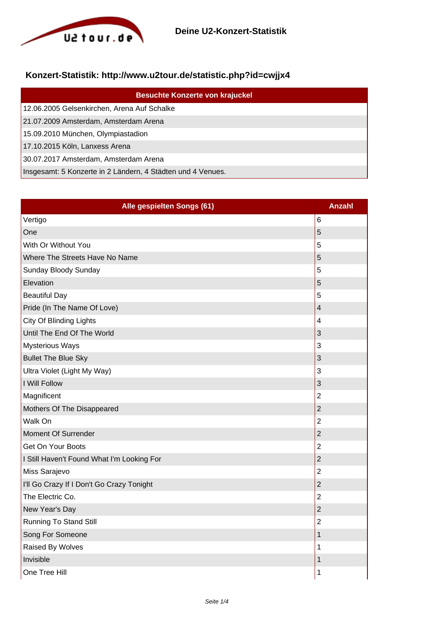

## **Konzert-Statistik: http://www.u2tour.de/statistic.php?id=cwjjx4**

| <b>Besuchte Konzerte von krajuckel</b>                      |
|-------------------------------------------------------------|
| 12.06.2005 Gelsenkirchen, Arena Auf Schalke                 |
| 21.07.2009 Amsterdam, Amsterdam Arena                       |
| 15.09.2010 München, Olympiastadion                          |
| 17.10.2015 Köln, Lanxess Arena                              |
| 30.07.2017 Amsterdam, Amsterdam Arena                       |
| Insgesamt: 5 Konzerte in 2 Ländern, 4 Städten und 4 Venues. |

| Alle gespielten Songs (61)                 | <b>Anzahl</b>  |
|--------------------------------------------|----------------|
| Vertigo                                    | 6              |
| One                                        | 5              |
| With Or Without You                        | 5              |
| Where The Streets Have No Name             | 5              |
| Sunday Bloody Sunday                       | 5              |
| Elevation                                  | 5              |
| <b>Beautiful Day</b>                       | 5              |
| Pride (In The Name Of Love)                | $\overline{4}$ |
| City Of Blinding Lights                    | 4              |
| Until The End Of The World                 | 3              |
| <b>Mysterious Ways</b>                     | 3              |
| <b>Bullet The Blue Sky</b>                 | 3              |
| Ultra Violet (Light My Way)                | 3              |
| I Will Follow                              | 3              |
| Magnificent                                | $\overline{2}$ |
| Mothers Of The Disappeared                 | $\overline{2}$ |
| Walk On                                    | $\overline{2}$ |
| <b>Moment Of Surrender</b>                 | $\overline{2}$ |
| Get On Your Boots                          | $\overline{2}$ |
| I Still Haven't Found What I'm Looking For | $\overline{2}$ |
| Miss Sarajevo                              | $\overline{2}$ |
| I'll Go Crazy If I Don't Go Crazy Tonight  | $\overline{2}$ |
| The Electric Co.                           | $\overline{2}$ |
| New Year's Day                             | $\overline{2}$ |
| <b>Running To Stand Still</b>              | $\overline{2}$ |
| Song For Someone                           | $\mathbf 1$    |
| Raised By Wolves                           | 1              |
| Invisible                                  | 1              |
| One Tree Hill                              | 1              |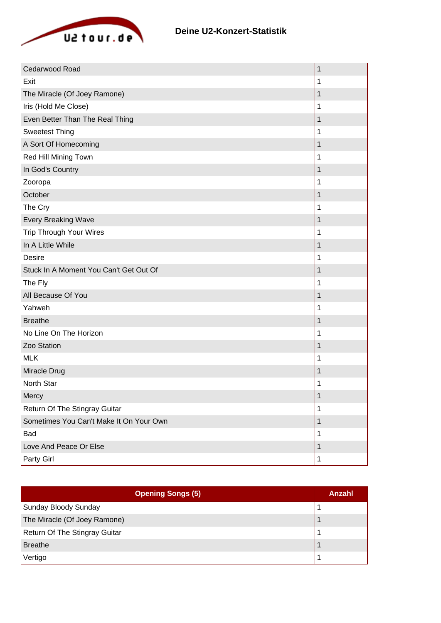

| Cedarwood Road                          | $\mathbf 1$ |
|-----------------------------------------|-------------|
| Exit                                    | 1           |
| The Miracle (Of Joey Ramone)            | 1           |
| Iris (Hold Me Close)                    | 1           |
| Even Better Than The Real Thing         | 1           |
| <b>Sweetest Thing</b>                   | 1           |
| A Sort Of Homecoming                    | 1           |
| Red Hill Mining Town                    | 1           |
| In God's Country                        | 1           |
| Zooropa                                 | 1           |
| October                                 | 1           |
| The Cry                                 | 1           |
| <b>Every Breaking Wave</b>              | 1           |
| <b>Trip Through Your Wires</b>          | 1           |
| In A Little While                       | 1           |
| <b>Desire</b>                           | 1           |
| Stuck In A Moment You Can't Get Out Of  | 1           |
| The Fly                                 | 1           |
| All Because Of You                      | 1           |
| Yahweh                                  | 1           |
| <b>Breathe</b>                          | 1           |
| No Line On The Horizon                  | 1           |
| Zoo Station                             | 1           |
| <b>MLK</b>                              | 1           |
| Miracle Drug                            | 1           |
| North Star                              | 1           |
| Mercy                                   | 1           |
| Return Of The Stingray Guitar           | 1           |
| Sometimes You Can't Make It On Your Own | 1           |
| Bad                                     | 1           |
| Love And Peace Or Else                  | 1           |
| Party Girl                              | 1           |

| <b>Opening Songs (5)</b>             | Anzahl |
|--------------------------------------|--------|
| Sunday Bloody Sunday                 |        |
| The Miracle (Of Joey Ramone)         |        |
| <b>Return Of The Stingray Guitar</b> |        |
| <b>Breathe</b>                       |        |
| Vertigo                              |        |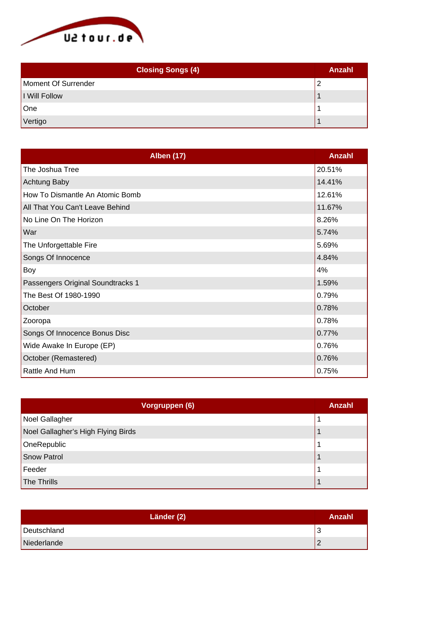

| <b>Closing Songs (4)</b> | <b>Anzahl</b> |
|--------------------------|---------------|
| Moment Of Surrender      |               |
| I Will Follow            |               |
| One                      |               |
| Vertigo                  |               |

| <b>Alben (17)</b>                 | Anzahl |
|-----------------------------------|--------|
| The Joshua Tree                   | 20.51% |
| Achtung Baby                      | 14.41% |
| How To Dismantle An Atomic Bomb   | 12.61% |
| All That You Can't Leave Behind   | 11.67% |
| No Line On The Horizon            | 8.26%  |
| War                               | 5.74%  |
| The Unforgettable Fire            | 5.69%  |
| Songs Of Innocence                | 4.84%  |
| Boy                               | 4%     |
| Passengers Original Soundtracks 1 | 1.59%  |
| The Best Of 1980-1990             | 0.79%  |
| October                           | 0.78%  |
| Zooropa                           | 0.78%  |
| Songs Of Innocence Bonus Disc     | 0.77%  |
| Wide Awake In Europe (EP)         | 0.76%  |
| October (Remastered)              | 0.76%  |
| Rattle And Hum                    | 0.75%  |

| Vorgruppen (6)                     | Anzahl |
|------------------------------------|--------|
| Noel Gallagher                     |        |
| Noel Gallagher's High Flying Birds |        |
| OneRepublic                        |        |
| Snow Patrol                        |        |
| Feeder                             |        |
| The Thrills                        |        |

| Länder (2)  | Anzahl |
|-------------|--------|
| Deutschland | N      |
| Niederlande |        |